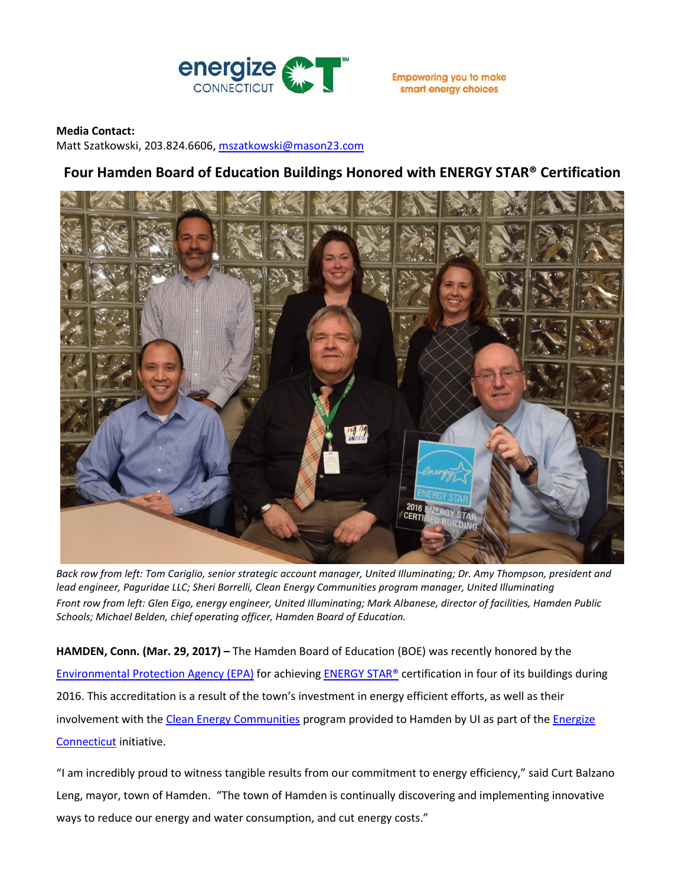

smart energy choices

## **Media Contact:**

Matt Szatkowski, 203.824.6606[, mszatkowski@mason23.com](mailto:mszatkowski@mason23.com)

## **Four Hamden Board of Education Buildings Honored with ENERGY STAR® Certification**



*Back row from left: Tom Cariglio, senior strategic account manager, United Illuminating; Dr. Amy Thompson, president and lead engineer, Paguridae LLC; Sheri Borrelli, Clean Energy Communities program manager, United Illuminating Front row from left: Glen Eigo, energy engineer, United Illuminating; Mark Albanese, director of facilities, Hamden Public Schools; Michael Belden, chief operating officer, Hamden Board of Education.*

**HAMDEN, Conn. (Mar. 29, 2017) –** The Hamden Board of Education (BOE) was recently honored by the [Environmental Protection Agency \(EPA\)](https://www.epa.gov/aboutepa/epa-region-1-new-england) for achievin[g ENERGY STAR®](https://www.energystar.gov/buildings/facility-owners-and-managers/existing-buildings/earn-recognition/energy-star-certification) certification in four of its buildings during 2016. This accreditation is a result of the town's investment in energy efficient efforts, as well as their involvement with the [Clean Energy Communities](http://www.energizect.com/your-town/solutions-list/clean-energy-communities) program provided to Hamden by UI as part of the *Energize* [Connecticut](http://www.energizect.com/) initiative.

"I am incredibly proud to witness tangible results from our commitment to energy efficiency," said Curt Balzano Leng, mayor, town of Hamden. "The town of Hamden is continually discovering and implementing innovative ways to reduce our energy and water consumption, and cut energy costs."